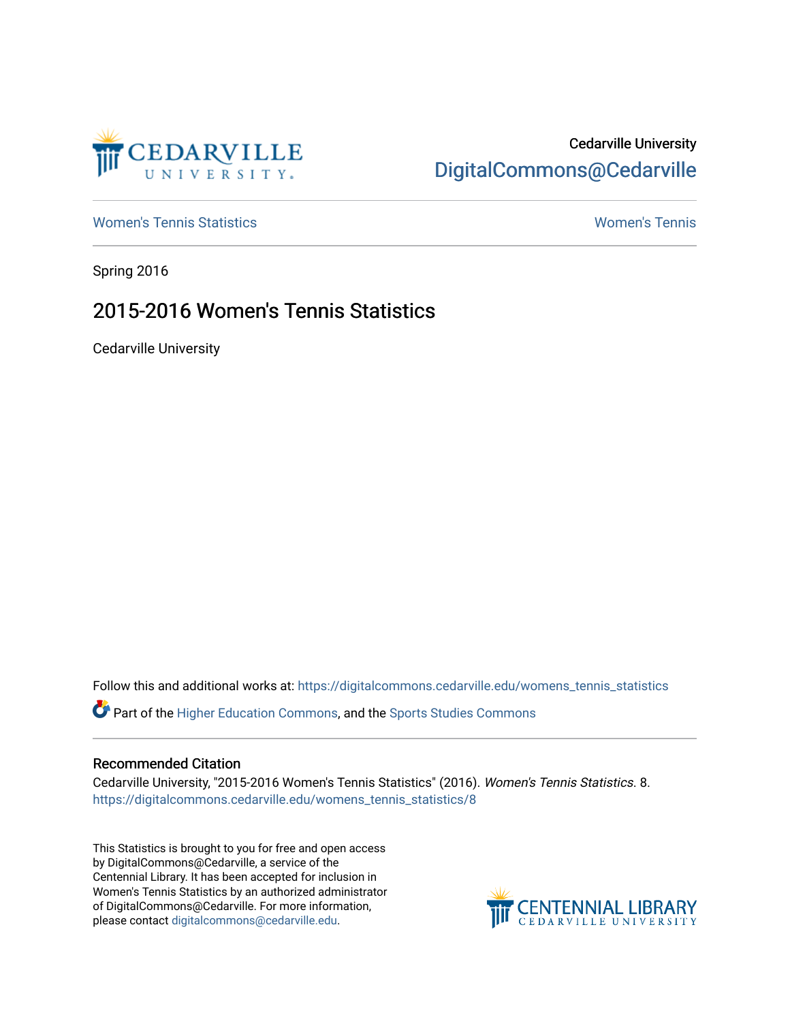

## Cedarville University [DigitalCommons@Cedarville](https://digitalcommons.cedarville.edu/)

[Women's Tennis Statistics](https://digitalcommons.cedarville.edu/womens_tennis_statistics) [Women's Tennis](https://digitalcommons.cedarville.edu/womens_tennis) 

Spring 2016

# 2015-2016 Women's Tennis Statistics

Cedarville University

Follow this and additional works at: [https://digitalcommons.cedarville.edu/womens\\_tennis\\_statistics](https://digitalcommons.cedarville.edu/womens_tennis_statistics?utm_source=digitalcommons.cedarville.edu%2Fwomens_tennis_statistics%2F8&utm_medium=PDF&utm_campaign=PDFCoverPages) 

Part of the [Higher Education Commons,](http://network.bepress.com/hgg/discipline/1245?utm_source=digitalcommons.cedarville.edu%2Fwomens_tennis_statistics%2F8&utm_medium=PDF&utm_campaign=PDFCoverPages) and the [Sports Studies Commons](http://network.bepress.com/hgg/discipline/1198?utm_source=digitalcommons.cedarville.edu%2Fwomens_tennis_statistics%2F8&utm_medium=PDF&utm_campaign=PDFCoverPages) 

### Recommended Citation

Cedarville University, "2015-2016 Women's Tennis Statistics" (2016). Women's Tennis Statistics. 8. [https://digitalcommons.cedarville.edu/womens\\_tennis\\_statistics/8](https://digitalcommons.cedarville.edu/womens_tennis_statistics/8?utm_source=digitalcommons.cedarville.edu%2Fwomens_tennis_statistics%2F8&utm_medium=PDF&utm_campaign=PDFCoverPages)

This Statistics is brought to you for free and open access by DigitalCommons@Cedarville, a service of the Centennial Library. It has been accepted for inclusion in Women's Tennis Statistics by an authorized administrator of DigitalCommons@Cedarville. For more information, please contact [digitalcommons@cedarville.edu](mailto:digitalcommons@cedarville.edu).